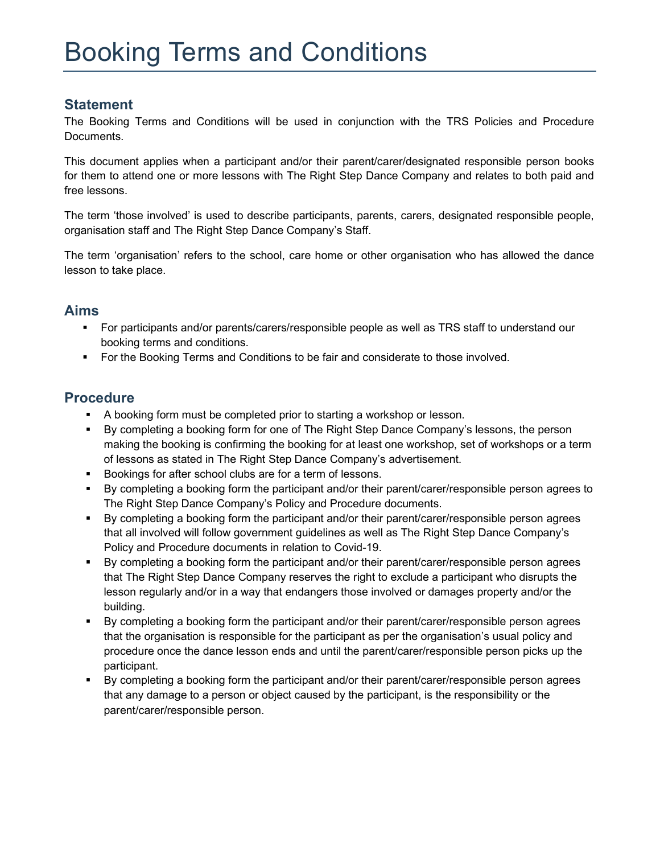## **Statement**

The Booking Terms and Conditions will be used in conjunction with the TRS Policies and Procedure Documents.

This document applies when a participant and/or their parent/carer/designated responsible person books for them to attend one or more lessons with The Right Step Dance Company and relates to both paid and free lessons.

The term 'those involved' is used to describe participants, parents, carers, designated responsible people, organisation staff and The Right Step Dance Company's Staff.

The term 'organisation' refers to the school, care home or other organisation who has allowed the dance lesson to take place.

## Aims

- For participants and/or parents/carers/responsible people as well as TRS staff to understand our booking terms and conditions.
- **For the Booking Terms and Conditions to be fair and considerate to those involved.**

## **Procedure**

- A booking form must be completed prior to starting a workshop or lesson.
- By completing a booking form for one of The Right Step Dance Company's lessons, the person making the booking is confirming the booking for at least one workshop, set of workshops or a term of lessons as stated in The Right Step Dance Company's advertisement.
- **Bookings for after school clubs are for a term of lessons.**
- By completing a booking form the participant and/or their parent/carer/responsible person agrees to The Right Step Dance Company's Policy and Procedure documents.
- By completing a booking form the participant and/or their parent/carer/responsible person agrees that all involved will follow government guidelines as well as The Right Step Dance Company's Policy and Procedure documents in relation to Covid-19.
- By completing a booking form the participant and/or their parent/carer/responsible person agrees that The Right Step Dance Company reserves the right to exclude a participant who disrupts the lesson regularly and/or in a way that endangers those involved or damages property and/or the building.
- By completing a booking form the participant and/or their parent/carer/responsible person agrees that the organisation is responsible for the participant as per the organisation's usual policy and procedure once the dance lesson ends and until the parent/carer/responsible person picks up the participant.
- By completing a booking form the participant and/or their parent/carer/responsible person agrees that any damage to a person or object caused by the participant, is the responsibility or the parent/carer/responsible person.